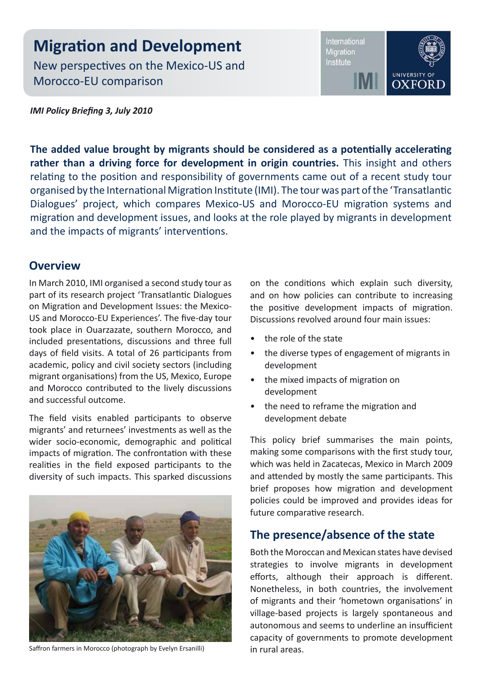# **Migration and Development**

New perspectives on the Mexico-US and Morocco-EU comparison

International Migration Institute



*IMI Policy Briefing 3, July 2010*

**The added value brought by migrants should be considered as a potentially accelerating rather than a driving force for development in origin countries.** This insight and others relating to the position and responsibility of governments came out of a recent study tour organised by the International Migration Institute (IMI). The tour was part of the 'Transatlantic Dialogues' project, which compares Mexico-US and Morocco-EU migration systems and migration and development issues, and looks at the role played by migrants in development and the impacts of migrants' interventions.

#### **Overview**

In March 2010, IMI organised a second study tour as part of its research project 'Transatlantic Dialogues on Migration and Development Issues: the Mexico-US and Morocco-EU Experiences'. The five-day tour took place in Ouarzazate, southern Morocco, and included presentations, discussions and three full days of field visits. A total of 26 participants from academic, policy and civil society sectors (including migrant organisations) from the US, Mexico, Europe and Morocco contributed to the lively discussions and successful outcome.

The field visits enabled participants to observe migrants' and returnees' investments as well as the wider socio-economic, demographic and political impacts of migration. The confrontation with these realities in the field exposed participants to the diversity of such impacts. This sparked discussions



Saffron farmers in Morocco (photograph by Evelyn Ersanilli)

on the conditions which explain such diversity, and on how policies can contribute to increasing the positive development impacts of migration. Discussions revolved around four main issues:

- the role of the state
- the diverse types of engagement of migrants in development
- the mixed impacts of migration on development
- the need to reframe the migration and development debate

This policy brief summarises the main points, making some comparisons with the first study tour, which was held in Zacatecas, Mexico in March 2009 and attended by mostly the same participants. This brief proposes how migration and development policies could be improved and provides ideas for future comparative research.

#### **The presence/absence of the state**

Both the Moroccan and Mexican states have devised strategies to involve migrants in development efforts, although their approach is different. Nonetheless, in both countries, the involvement of migrants and their 'hometown organisations' in village-based projects is largely spontaneous and autonomous and seems to underline an insufficient capacity of governments to promote development in rural areas.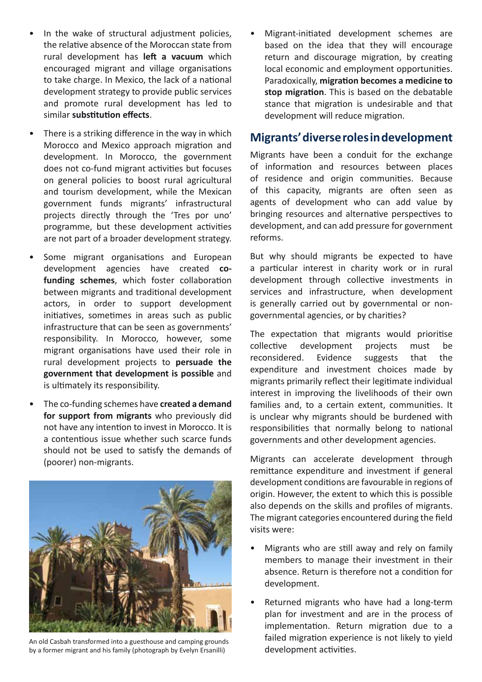- In the wake of structural adjustment policies, the relative absence of the Moroccan state from rural development has **left a vacuum** which encouraged migrant and village organisations to take charge. In Mexico, the lack of a national development strategy to provide public services and promote rural development has led to similar **substitution effects**.
- There is a striking difference in the way in which Morocco and Mexico approach migration and development. In Morocco, the government does not co-fund migrant activities but focuses on general policies to boost rural agricultural and tourism development, while the Mexican government funds migrants' infrastructural projects directly through the 'Tres por uno' programme, but these development activities are not part of a broader development strategy.
- Some migrant organisations and European development agencies have created **cofunding schemes**, which foster collaboration between migrants and traditional development actors, in order to support development initiatives, sometimes in areas such as public infrastructure that can be seen as governments' responsibility. In Morocco, however, some migrant organisations have used their role in rural development projects to **persuade the government that development is possible** and is ultimately its responsibility.
- The co-funding schemes have **created a demand for support from migrants** who previously did not have any intention to invest in Morocco. It is a contentious issue whether such scarce funds should not be used to satisfy the demands of (poorer) non-migrants.



An old Casbah transformed into a guesthouse and camping grounds by a former migrant and his family (photograph by Evelyn Ersanilli)

• Migrant-initiated development schemes are based on the idea that they will encourage return and discourage migration, by creating local economic and employment opportunities. Paradoxically, **migration becomes a medicine to stop migration**. This is based on the debatable stance that migration is undesirable and that development will reduce migration.

#### **Migrants' diverse roles in development**

Migrants have been a conduit for the exchange of information and resources between places of residence and origin communities. Because of this capacity, migrants are often seen as agents of development who can add value by bringing resources and alternative perspectives to development, and can add pressure for government reforms.

But why should migrants be expected to have a particular interest in charity work or in rural development through collective investments in services and infrastructure, when development is generally carried out by governmental or nongovernmental agencies, or by charities?

The expectation that migrants would prioritise collective development projects must be reconsidered. Evidence suggests that the expenditure and investment choices made by migrants primarily reflect their legitimate individual interest in improving the livelihoods of their own families and, to a certain extent, communities. It is unclear why migrants should be burdened with responsibilities that normally belong to national governments and other development agencies.

Migrants can accelerate development through remittance expenditure and investment if general development conditions are favourable in regions of origin. However, the extent to which this is possible also depends on the skills and profiles of migrants. The migrant categories encountered during the field visits were:

- Migrants who are still away and rely on family members to manage their investment in their absence. Return is therefore not a condition for development.
- Returned migrants who have had a long-term plan for investment and are in the process of implementation. Return migration due to a failed migration experience is not likely to yield development activities.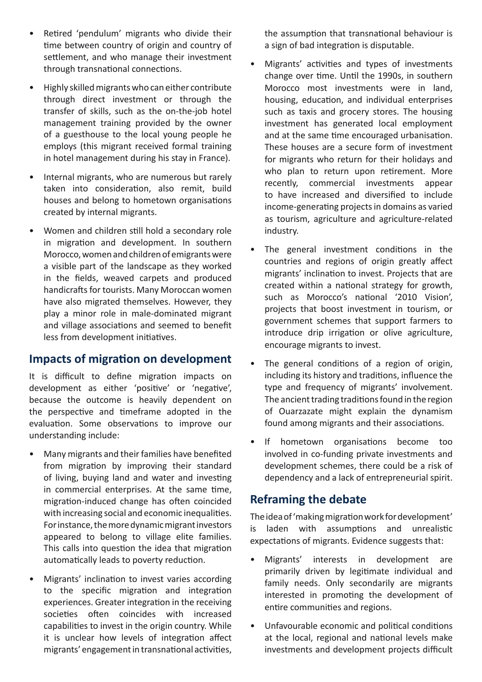- Retired 'pendulum' migrants who divide their time between country of origin and country of settlement, and who manage their investment through transnational connections.
- Highly skilled migrants who can either contribute through direct investment or through the transfer of skills, such as the on-the-job hotel management training provided by the owner of a guesthouse to the local young people he employs (this migrant received formal training in hotel management during his stay in France).
- Internal migrants, who are numerous but rarely taken into consideration, also remit, build houses and belong to hometown organisations created by internal migrants.
- Women and children still hold a secondary role in migration and development. In southern Morocco, women and children of emigrants were a visible part of the landscape as they worked in the fields, weaved carpets and produced handicrafts for tourists. Many Moroccan women have also migrated themselves. However, they play a minor role in male-dominated migrant and village associations and seemed to benefit less from development initiatives.

## **Impacts of migration on development**

It is difficult to define migration impacts on development as either 'positive' or 'negative', because the outcome is heavily dependent on the perspective and timeframe adopted in the evaluation. Some observations to improve our understanding include:

- Many migrants and their families have benefited from migration by improving their standard of living, buying land and water and investing in commercial enterprises. At the same time, migration-induced change has often coincided with increasing social and economic inequalities. For instance, the more dynamic migrant investors appeared to belong to village elite families. This calls into question the idea that migration automatically leads to poverty reduction.
- Migrants' inclination to invest varies according to the specific migration and integration experiences. Greater integration in the receiving societies often coincides with increased capabilities to invest in the origin country. While it is unclear how levels of integration affect migrants' engagement in transnational activities,

the assumption that transnational behaviour is a sign of bad integration is disputable.

- Migrants' activities and types of investments change over time. Until the 1990s, in southern Morocco most investments were in land, housing, education, and individual enterprises such as taxis and grocery stores. The housing investment has generated local employment and at the same time encouraged urbanisation. These houses are a secure form of investment for migrants who return for their holidays and who plan to return upon retirement. More recently, commercial investments appear to have increased and diversified to include income-generating projects in domains as varied as tourism, agriculture and agriculture-related industry.
- The general investment conditions in the countries and regions of origin greatly affect migrants' inclination to invest. Projects that are created within a national strategy for growth, such as Morocco's national '2010 Vision', projects that boost investment in tourism, or government schemes that support farmers to introduce drip irrigation or olive agriculture, encourage migrants to invest.
- The general conditions of a region of origin, including its history and traditions, influence the type and frequency of migrants' involvement. The ancient trading traditions found in the region of Ouarzazate might explain the dynamism found among migrants and their associations.
- If hometown organisations become too involved in co-funding private investments and development schemes, there could be a risk of dependency and a lack of entrepreneurial spirit.

## **Reframing the debate**

The idea of 'making migration work for development' is laden with assumptions and unrealistic expectations of migrants. Evidence suggests that:

- Migrants' interests in development are primarily driven by legitimate individual and family needs. Only secondarily are migrants interested in promoting the development of entire communities and regions.
- Unfavourable economic and political conditions at the local, regional and national levels make investments and development projects difficult